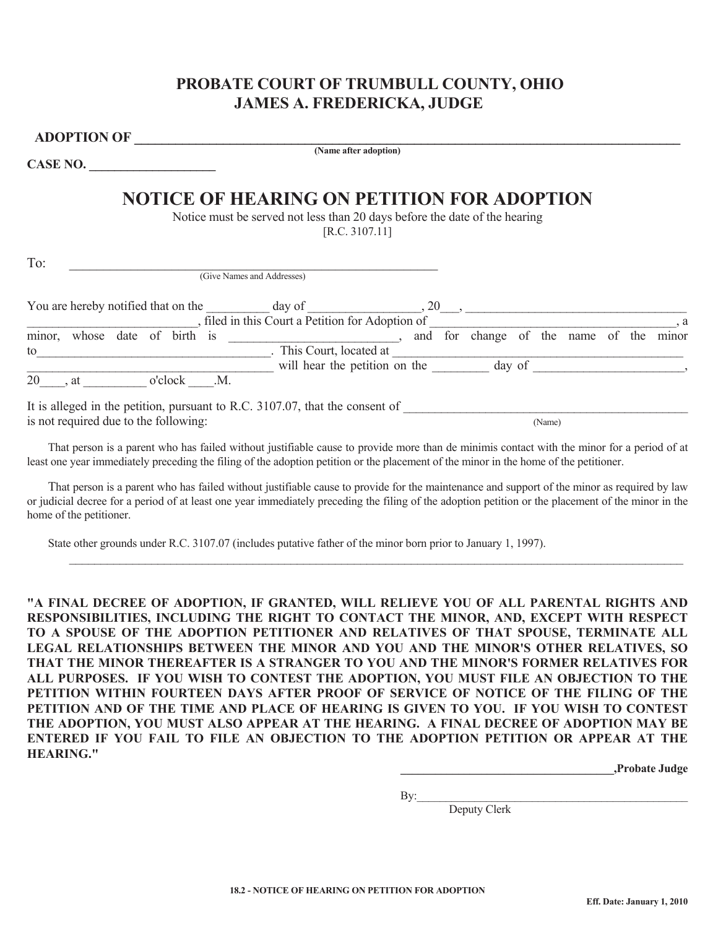## **PROBATE COURT OF TRUMBULL COUNTY, OHIO JAMES A. FREDERICKA, JUDGE**

**ADOPTION OF \_\_\_\_\_\_\_\_\_\_\_\_\_\_\_\_\_\_\_\_\_\_\_\_\_\_\_\_\_\_\_\_\_\_\_\_\_\_\_\_\_\_\_\_\_\_\_\_\_\_\_\_\_\_\_\_\_\_\_\_\_\_\_\_\_\_\_\_\_\_\_\_\_\_\_\_\_\_\_\_ (Name after adoption)**

**CASE NO. \_\_\_\_\_\_\_\_\_\_\_\_\_\_\_\_\_\_\_\_** 

## **NOTICE OF HEARING ON PETITION FOR ADOPTION**

Notice must be served not less than 20 days before the date of the hearing [R.C. 3107.11]

| To:                                                                          |                                                        |  |
|------------------------------------------------------------------------------|--------------------------------------------------------|--|
| (Give Names and Addresses)                                                   |                                                        |  |
| You are hereby notified that on the<br>day of                                | 20                                                     |  |
| filed in this Court a Petition for Adoption of                               |                                                        |  |
| minor,<br>birth is<br>date of<br>whose                                       | minor<br>change of the<br>name of<br>for<br>and<br>the |  |
| This Court, located at<br>to                                                 |                                                        |  |
| will hear the petition on the                                                | day of                                                 |  |
| 20<br>o'clock<br>.М.<br>at                                                   |                                                        |  |
| It is alleged in the petition, pursuant to R.C. 3107.07, that the consent of |                                                        |  |
| is not required due to the following:                                        | (Name)                                                 |  |

 That person is a parent who has failed without justifiable cause to provide more than de minimis contact with the minor for a period of at least one year immediately preceding the filing of the adoption petition or the placement of the minor in the home of the petitioner.

 That person is a parent who has failed without justifiable cause to provide for the maintenance and support of the minor as required by law or judicial decree for a period of at least one year immediately preceding the filing of the adoption petition or the placement of the minor in the home of the petitioner.

 $\mathcal{L}_\mathcal{L} = \mathcal{L}_\mathcal{L} = \mathcal{L}_\mathcal{L} = \mathcal{L}_\mathcal{L} = \mathcal{L}_\mathcal{L} = \mathcal{L}_\mathcal{L} = \mathcal{L}_\mathcal{L} = \mathcal{L}_\mathcal{L} = \mathcal{L}_\mathcal{L} = \mathcal{L}_\mathcal{L} = \mathcal{L}_\mathcal{L} = \mathcal{L}_\mathcal{L} = \mathcal{L}_\mathcal{L} = \mathcal{L}_\mathcal{L} = \mathcal{L}_\mathcal{L} = \mathcal{L}_\mathcal{L} = \mathcal{L}_\mathcal{L}$ 

State other grounds under R.C. 3107.07 (includes putative father of the minor born prior to January 1, 1997).

**"A FINAL DECREE OF ADOPTION, IF GRANTED, WILL RELIEVE YOU OF ALL PARENTAL RIGHTS AND RESPONSIBILITIES, INCLUDING THE RIGHT TO CONTACT THE MINOR, AND, EXCEPT WITH RESPECT TO A SPOUSE OF THE ADOPTION PETITIONER AND RELATIVES OF THAT SPOUSE, TERMINATE ALL LEGAL RELATIONSHIPS BETWEEN THE MINOR AND YOU AND THE MINOR'S OTHER RELATIVES, SO THAT THE MINOR THEREAFTER IS A STRANGER TO YOU AND THE MINOR'S FORMER RELATIVES FOR ALL PURPOSES. IF YOU WISH TO CONTEST THE ADOPTION, YOU MUST FILE AN OBJECTION TO THE PETITION WITHIN FOURTEEN DAYS AFTER PROOF OF SERVICE OF NOTICE OF THE FILING OF THE PETITION AND OF THE TIME AND PLACE OF HEARING IS GIVEN TO YOU. IF YOU WISH TO CONTEST THE ADOPTION, YOU MUST ALSO APPEAR AT THE HEARING. A FINAL DECREE OF ADOPTION MAY BE ENTERED IF YOU FAIL TO FILE AN OBJECTION TO THE ADOPTION PETITION OR APPEAR AT THE HEARING."**

**\_\_\_\_\_\_\_\_\_\_\_\_\_\_\_\_\_\_\_\_\_\_\_\_\_\_\_\_\_\_\_\_\_\_\_\_\_,Probate Judge** 

 $\mathbf{By:}$ 

Deputy Clerk